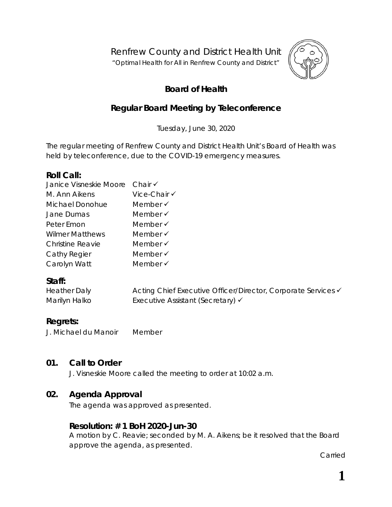Renfrew County and District Health Unit

"*Optimal Health for All in Renfrew County and District"*



# **Board of Health**

# **Regular Board Meeting by Teleconference**

Tuesday, June 30, 2020

The regular meeting of Renfrew County and District Health Unit's Board of Health was held by teleconference, due to the COVID-19 emergency measures.

### **Roll Call:**

| Janice Visneskie Moore Chair V |                     |
|--------------------------------|---------------------|
| M. Ann Aikens                  | Vice-Chair √        |
| Michael Donohue                | Member $\checkmark$ |
| Jane Dumas                     | Member $\checkmark$ |
| Peter Emon                     | Member $\checkmark$ |
| <b>Wilmer Matthews</b>         | Member $\checkmark$ |
| <b>Christine Reavie</b>        | Member $\checkmark$ |
| Cathy Regier                   | Member $\checkmark$ |
| Carolyn Watt                   | Member √            |

### **Staff:**

| Heather Daly  | Acting Chief Executive Officer/Director, Corporate Services V |
|---------------|---------------------------------------------------------------|
| Marilyn Halko | Executive Assistant (Secretary) √                             |

## **Regrets:**

J. Michael du Manoir Member

### **01. Call to Order**

J. Visneskie Moore called the meeting to order at 10:02 a.m.

### **02. Agenda Approval**

The agenda was approved as presented.

### **Resolution: # 1 BoH 2020-Jun-30**

A motion by C. Reavie; seconded by M. A. Aikens; be it resolved that the Board approve the agenda, as presented.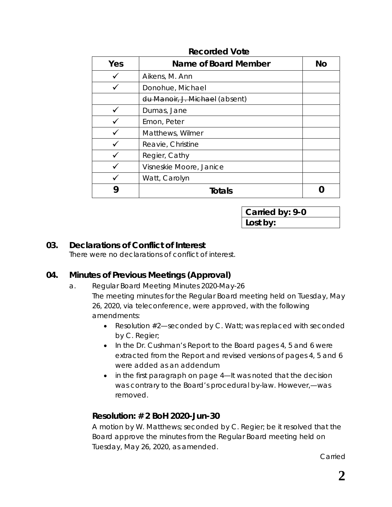| Yes | <b>Name of Board Member</b>    | <b>No</b> |
|-----|--------------------------------|-----------|
|     | Aikens, M. Ann                 |           |
|     | Donohue, Michael               |           |
|     | du Manoir, J. Michael (absent) |           |
|     | Dumas, Jane                    |           |
|     | Emon, Peter                    |           |
|     | Matthews, Wilmer               |           |
|     | Reavie, Christine              |           |
|     | Regier, Cathy                  |           |
|     | Visneskie Moore, Janice        |           |
|     | Watt, Carolyn                  |           |
| y   | <b>Totals</b>                  |           |

#### **Recorded Vote**

**Carried by: 9-0 Lost by:**

### **03. Declarations of Conflict of Interest**

There were no declarations of conflict of interest.

### **04. Minutes of Previous Meetings (Approval)**

- a. Regular Board Meeting Minutes 2020-May-26 The meeting minutes for the Regular Board meeting held on Tuesday, May 26, 2020, via teleconference, were approved, with the following amendments:
	- Resolution #2—seconded by C. Watt; was replaced with seconded by C. Regier;
	- In the Dr. Cushman's *Report to the Board* pages 4, 5 and 6 were extracted from the Report and revised versions of pages 4, 5 and 6 were added as an addendum
	- in the first paragraph on page 4—*It was noted that the decision was contrary to the Board's procedural by-law. However,*—was removed.

### **Resolution: # 2 BoH 2020-Jun-30**

A motion by W. Matthews; seconded by C. Regier; be it resolved that the Board approve the minutes from the Regular Board meeting held on Tuesday, May 26, 2020, as amended.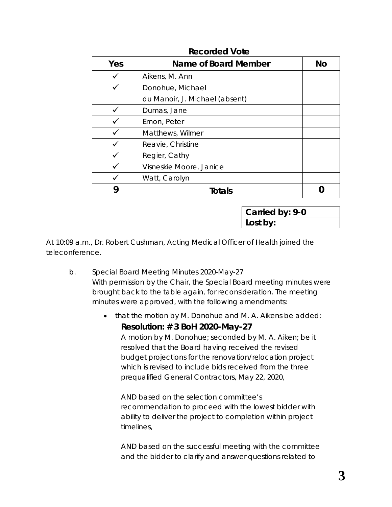| Yes | Name of Board Member           | No |
|-----|--------------------------------|----|
|     | Aikens, M. Ann                 |    |
|     | Donohue, Michael               |    |
|     | du Manoir, J. Michael (absent) |    |
|     | Dumas, Jane                    |    |
|     | Emon, Peter                    |    |
|     | Matthews, Wilmer               |    |
|     | Reavie, Christine              |    |
|     | Regier, Cathy                  |    |
|     | Visneskie Moore, Janice        |    |
|     | Watt, Carolyn                  |    |
|     | <b>Totals</b>                  |    |

#### **Recorded Vote**

**Carried by: 9-0 Lost by:**

At 10:09 a.m., Dr. Robert Cushman, Acting Medical Officer of Health joined the teleconference.

- b. Special Board Meeting Minutes 2020-May-27 With permission by the Chair, the Special Board meeting minutes were brought back to the table again, for reconsideration. The meeting minutes were approved, with the following amendments:
	- that the motion by M. Donohue and M. A. Aikens be added:

*Resolution: # 3 BoH 2020-May-27*

*A motion by M. Donohue; seconded by M. A. Aiken; be it resolved that the Board having received the revised budget projections for the renovation/relocation project which is revised to include bids received from the three prequalified General Contractors, May 22, 2020,*

*AND based on the selection committee's recommendation to proceed with the lowest bidder with ability to deliver the project to completion within project timelines,* 

*AND based on the successful meeting with the committee and the bidder to clarify and answer questions related to*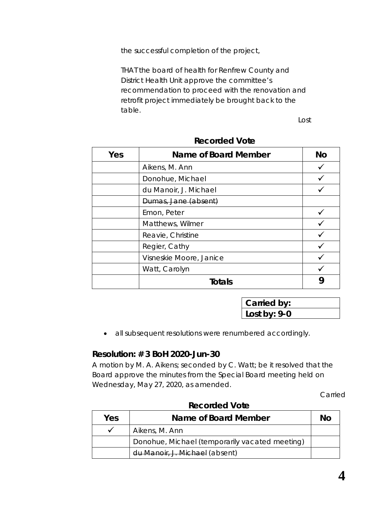*the successful completion of the project,* 

*THAT the board of health for Renfrew County and District Health Unit approve the committee's recommendation to proceed with the renovation and retrofit project immediately be brought back to the table.*

*Lost*

| Yes | <b>Name of Board Member</b> | Nο |
|-----|-----------------------------|----|
|     | Aikens, M. Ann              |    |
|     | Donohue, Michael            |    |
|     | du Manoir, J. Michael       |    |
|     | Dumas, Jane (absent)        |    |
|     | Emon, Peter                 |    |
|     | Matthews, Wilmer            |    |
|     | Reavie, Christine           |    |
|     | Regier, Cathy               |    |
|     | Visneskie Moore, Janice     |    |
|     | Watt, Carolyn               |    |
|     | <b>Totals</b>               |    |

#### **Recorded Vote**

**Carried by: Lost by: 9-0**

• all subsequent resolutions were renumbered accordingly.

#### **Resolution: # 3 BoH 2020-Jun-30**

A motion by M. A. Aikens; seconded by C. Watt; be it resolved that the Board approve the minutes from the Special Board meeting held on Wednesday, May 27, 2020, as amended.

Carried

| Yes<br>Name of Board Member |                                                | No |
|-----------------------------|------------------------------------------------|----|
|                             | Aikens, M. Ann                                 |    |
|                             | Donohue, Michael (temporarily vacated meeting) |    |
|                             | du Manoir, J. Michael (absent)                 |    |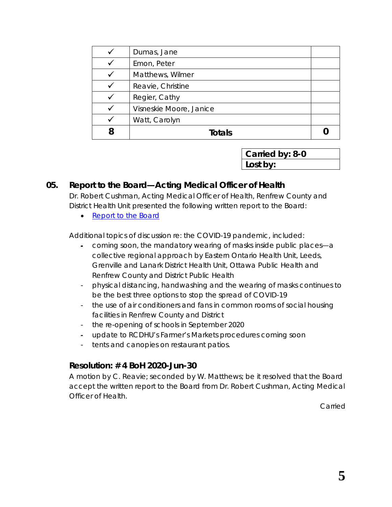|   | Dumas, Jane             |  |
|---|-------------------------|--|
|   | Emon, Peter             |  |
|   | Matthews, Wilmer        |  |
|   | Reavie, Christine       |  |
|   | Regier, Cathy           |  |
|   | Visneskie Moore, Janice |  |
|   | Watt, Carolyn           |  |
| 8 | <b>Totals</b>           |  |

**Carried by: 8-0 Lost by:**

### **05. Report to the Board—Acting Medical Officer of Health**

Dr. Robert Cushman, Acting Medical Officer of Health, Renfrew County and District Health Unit presented the following written report to the Board:

• [Report to the Board](https://www.rcdhu.com/wp-content/uploads/2020/07/05.-Report-to-the-Board-Acting-Medical-Officer-of-Health-June-2020.pdf)

Additional topics of discussion re: the COVID-19 pandemic, included:

- coming soon, the mandatory wearing of masks inside public places—a collective regional approach by Eastern Ontario Health Unit, Leeds, Grenville and Lanark District Health Unit, Ottawa Public Health and Renfrew County and District Public Health
- physical distancing, handwashing and the wearing of masks continues to be the best three options to stop the spread of COVID-19
- the use of air conditioners and fans in common rooms of social housing facilities in Renfrew County and District
- the re-opening of schools in September 2020
- update to RCDHU's Farmer's Markets procedures coming soon
- tents and canopies on restaurant patios.

### **Resolution: # 4 BoH 2020-Jun-30**

A motion by C. Reavie; seconded by W. Matthews; be it resolved that the Board accept the written report to the Board from Dr. Robert Cushman, Acting Medical Officer of Health.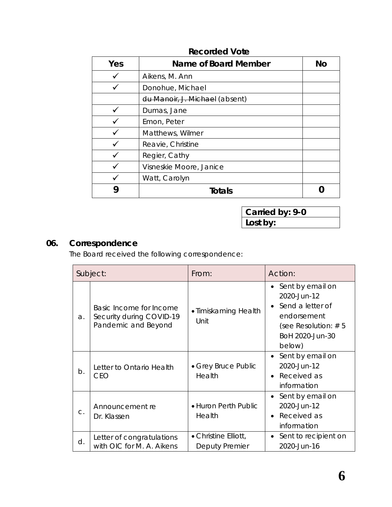| Yes | Name of Board Member           | No |
|-----|--------------------------------|----|
|     | Aikens, M. Ann                 |    |
|     | Donohue, Michael               |    |
|     | du Manoir, J. Michael (absent) |    |
|     | Dumas, Jane                    |    |
|     | Emon, Peter                    |    |
|     | Matthews, Wilmer               |    |
|     | Reavie, Christine              |    |
|     | Regier, Cathy                  |    |
|     | Visneskie Moore, Janice        |    |
|     | Watt, Carolyn                  |    |
|     | <b>Totals</b>                  |    |

### **Recorded Vote**

**Carried by: 9-0 Lost by:**

# **06. Correspondence**

The Board received the following correspondence:

|       | Subject:                                                                   | From:                                  | Action:                                                                                                                                             |  |
|-------|----------------------------------------------------------------------------|----------------------------------------|-----------------------------------------------------------------------------------------------------------------------------------------------------|--|
| a.    | Basic Income for Income<br>Security during COVID-19<br>Pandemic and Beyond | • Timiskaming Health<br>Unit           | Sent by email on<br>$\bullet$<br>2020-Jun-12<br>Send a letter of<br>$\bullet$<br>endorsement<br>(see Resolution: $# 5$<br>BoH 2020-Jun-30<br>below) |  |
| $b$ . | Letter to Ontario Health<br><b>CEO</b>                                     | • Grey Bruce Public<br>Health          | • Sent by email on<br>2020-Jun-12<br>• Received as<br>information                                                                                   |  |
| $C$ . | Announcement re<br>Dr. Klassen                                             | • Huron Perth Public<br>Health         | • Sent by email on<br>2020-Jun-12<br>Received as<br>$\bullet$<br>information                                                                        |  |
| d.    | Letter of congratulations<br>with OIC for M. A. Aikens                     | • Christine Elliott,<br>Deputy Premier | Sent to recipient on<br>$\bullet$<br>2020-Jun-16                                                                                                    |  |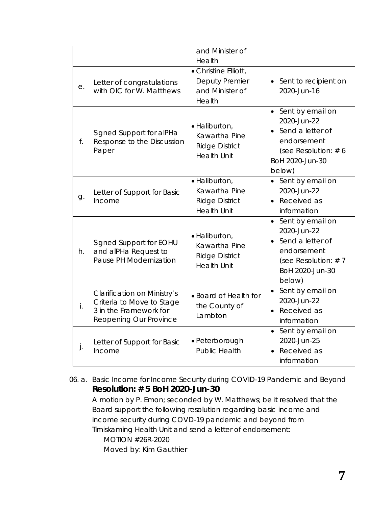|    |                                                                                                                     | and Minister of<br>Health                                                     |                                                                                                                             |
|----|---------------------------------------------------------------------------------------------------------------------|-------------------------------------------------------------------------------|-----------------------------------------------------------------------------------------------------------------------------|
| е. | Letter of congratulations<br>with OIC for W. Matthews                                                               | • Christine Elliott,<br><b>Deputy Premier</b><br>and Minister of<br>Health    | • Sent to recipient on<br>2020-Jun-16                                                                                       |
| f. | Signed Support for alPHa<br>Response to the Discussion<br>Paper                                                     | · Haliburton,<br>Kawartha Pine<br><b>Ridge District</b><br><b>Health Unit</b> | • Sent by email on<br>2020-Jun-22<br>Send a letter of<br>endorsement<br>(see Resolution: $# 6$<br>BoH 2020-Jun-30<br>below) |
| g. | Letter of Support for Basic<br>Income                                                                               | · Haliburton,<br>Kawartha Pine<br><b>Ridge District</b><br><b>Health Unit</b> | • Sent by email on<br>2020-Jun-22<br>Received as<br>information                                                             |
| h. | Signed Support for EOHU<br>and alPHa Request to<br>Pause PH Modernization                                           | · Haliburton,<br>Kawartha Pine<br><b>Ridge District</b><br><b>Health Unit</b> | Sent by email on<br>2020-Jun-22<br>Send a letter of<br>endorsement<br>(see Resolution: $# 7$<br>BoH 2020-Jun-30<br>below)   |
| i. | <b>Clarification on Ministry's</b><br>Criteria to Move to Stage<br>3 in the Framework for<br>Reopening Our Province | • Board of Health for<br>the County of<br>Lambton                             | Sent by email on<br>2020-Jun-22<br>Received as<br>$\bullet$<br>information                                                  |
| j. | Letter of Support for Basic<br>Income                                                                               | • Peterborough<br><b>Public Health</b>                                        | Sent by email on<br>$\bullet$<br>2020-Jun-25<br>Received as<br>information                                                  |

06. a. [Basic Income for Income Security during COVID-19 Pandemic and Beyond](http://portal.rcdhu.com/board/wp-content/uploads/2020/06/Letter-Basic-Income-for-Income-Security-COVID-19-Pandemic-and-Beyond-Jun-2020.pdf) **Resolution: # 5 BoH 2020-Jun-30**

A motion by P. Emon; seconded by W. Matthews; be it resolved that the Board support the following resolution regarding basic income and income security during COVD-19 pandemic and beyond from Timiskaming Health Unit and send a letter of endorsement:

*MOTION #26R-2020 Moved by: Kim Gauthier*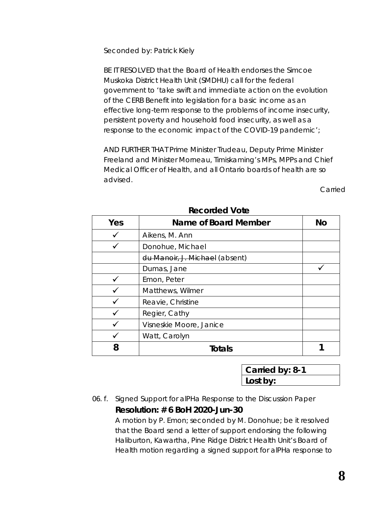*Seconded by: Patrick Kiely* 

*BE IT RESOLVED that the Board of Health endorses the Simcoe Muskoka District Health Unit (SMDHU) call for the federal government to 'take swift and immediate action on the evolution of the CERB Benefit into legislation for a basic income as an effective long-term response to the problems of income insecurity, persistent poverty and household food insecurity, as well as a response to the economic impact of the COVID-19 pandemic';* 

*AND FURTHER THAT Prime Minister Trudeau, Deputy Prime Minister Freeland and Minister Morneau, Timiskaming's MPs, MPPs and Chief Medical Officer of Health, and all Ontario boards of health are so advised.* 

Carried

| Yes | Name of Board Member           | <b>No</b> |
|-----|--------------------------------|-----------|
|     | Aikens, M. Ann                 |           |
|     | Donohue, Michael               |           |
|     | du Manoir, J. Michael (absent) |           |
|     | Dumas, Jane                    |           |
|     | Emon, Peter                    |           |
|     | Matthews, Wilmer               |           |
|     | Reavie, Christine              |           |
|     | Regier, Cathy                  |           |
|     | Visneskie Moore, Janice        |           |
|     | Watt, Carolyn                  |           |
| 8   | <b>Totals</b>                  |           |

**Recorded Vote**

**Carried by: 8-1 Lost by:**

#### 06. f. [Signed Support for alPHa Response to the Discussion Paper](http://portal.rcdhu.com/board/wp-content/uploads/2020/06/06.-f.-Signed-Support-for-alPHa-Response-to-the-Discussion-Paper.pdf) **Resolution: # 6 BoH 2020-Jun-30**

A motion by P. Emon; seconded by M. Donohue; be it resolved that the Board send a letter of support endorsing the following Haliburton, Kawartha, Pine Ridge District Health Unit's Board of Health motion regarding a signed support for alPHa response to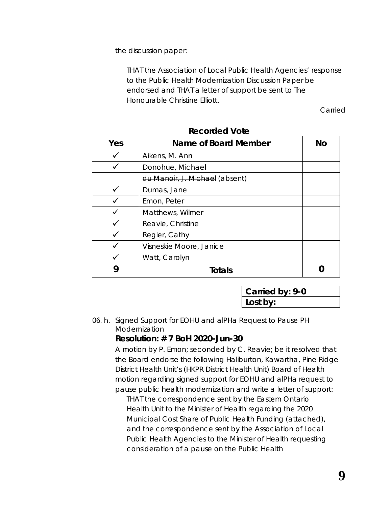the discussion paper:

*THAT the Association of Local Public Health Agencies' response to the Public Health Modernization Discussion Paper be endorsed and THAT a letter of support be sent to The Honourable Christine Elliott.*

Carried

| Yes | Name of Board Member           | <b>No</b> |
|-----|--------------------------------|-----------|
|     | Aikens, M. Ann                 |           |
|     | Donohue, Michael               |           |
|     | du Manoir, J. Michael (absent) |           |
|     | Dumas, Jane                    |           |
|     | Emon, Peter                    |           |
|     | Matthews, Wilmer               |           |
|     | Reavie, Christine              |           |
|     | Regier, Cathy                  |           |
|     | Visneskie Moore, Janice        |           |
|     | Watt, Carolyn                  |           |
|     | Totals                         |           |

**Recorded Vote**

**Carried by: 9-0 Lost by:**

06. h. [Signed Support for EOHU and alPHa Request to Pause PH](http://portal.rcdhu.com/board/wp-content/uploads/2020/06/06.-h.-Signed-Support-for-EOHU-alPHa-Request-to-Pause-PH-Modernization.pdf)  [Modernization](http://portal.rcdhu.com/board/wp-content/uploads/2020/06/06.-h.-Signed-Support-for-EOHU-alPHa-Request-to-Pause-PH-Modernization.pdf)

### **Resolution: # 7 BoH 2020-Jun-30**

A motion by P. Emon; seconded by C. Reavie; be it resolved that the Board endorse the following Haliburton, Kawartha, Pine Ridge District Health Unit's (HKPR District Health Unit) Board of Health motion regarding signed support for EOHU and alPHa request to pause public health modernization and write a letter of support:

*THAT the correspondence sent by the Eastern Ontario Health Unit to the Minister of Health regarding the 2020 Municipal Cost Share of Public Health Funding (attached), and the correspondence sent by the Association of Local Public Health Agencies to the Minister of Health requesting consideration of a pause on the Public Health*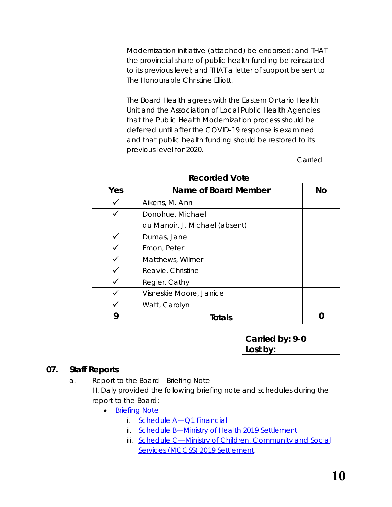*Modernization initiative (attached) be endorsed; and THAT the provincial share of public health funding be reinstated to its previous level; and THAT a letter of support be sent to The Honourable Christine Elliott.* 

*The Board Health agrees with the Eastern Ontario Health Unit and the Association of Local Public Health Agencies that the Public Health Modernization process should be deferred until after the COVID-19 response is examined and that public health funding should be restored to its previous level for 2020.* 

Carried

| Yes | Name of Board Member           | No |
|-----|--------------------------------|----|
|     | Aikens, M. Ann                 |    |
|     | Donohue, Michael               |    |
|     | du Manoir, J. Michael (absent) |    |
|     | Dumas, Jane                    |    |
|     | Emon, Peter                    |    |
|     | Matthews, Wilmer               |    |
|     | Reavie, Christine              |    |
|     | Regier, Cathy                  |    |
|     | Visneskie Moore, Janice        |    |
|     | Watt, Carolyn                  |    |
|     | <b>Totals</b>                  |    |

| <b>Recorded Vote</b> |  |
|----------------------|--|
|----------------------|--|

**Carried by: 9-0 Lost by:**

### **07. Staff Reports**

a. Report to the Board—Briefing Note

H. Daly provided the following briefing note and schedules during the report to the Board:

- **[Briefing Note](https://www.rcdhu.com/wp-content/uploads/2020/07/07.-a.-Briefing-Note-Daly-June-2020.pdf)** 
	- i. Schedule A-Q1 Financial
	- ii. [Schedule B—Ministry of Health 2019 Settlement](https://www.rcdhu.com/wp-content/uploads/2020/07/07.-a.-ii.-MOH-2019-Settlement-Schedule-B.pdf)
	- iii. Schedule C-Ministry of Children, Community and Social Services [\(MCCSS\) 2019 Settlement.](https://www.rcdhu.com/wp-content/uploads/2020/07/07.-a.-iii.-MCCSS-2019-Settlement-Schedule-C.pdf)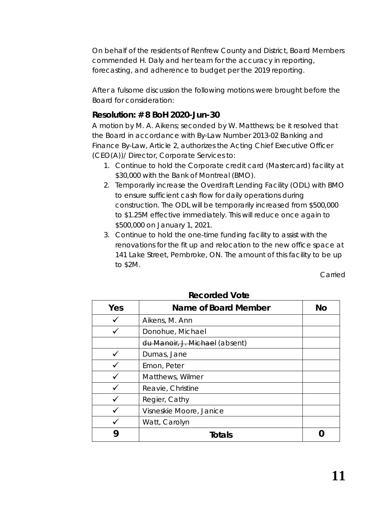On behalf of the residents of Renfrew County and District, Board Members commended H. Daly and her team for the accuracy in reporting, forecasting, and adherence to budget per the 2019 reporting.

After a fulsome discussion the following motions were brought before the Board for consideration:

### **Resolution: # 8 BoH 2020-Jun-30**

A motion by M. A. Aikens; seconded by W. Matthews; be it resolved that the Board in accordance with By-Law Number 2013-02 Banking and Finance By-Law, Article 2, authorizes the Acting Chief Executive Officer (CEO(A))/ Director, Corporate Services to:

- 1. Continue to hold the Corporate credit card (Mastercard) facility at \$30,000 with the Bank of Montreal (BMO).
- 2. Temporarily increase the Overdraft Lending Facility (ODL) with BMO to ensure sufficient cash flow for daily operations during construction. The ODL will be temporarily increased from \$500,000 to \$1.25M effective immediately. This will reduce once again to \$500,000 on January 1, 2021.
- 3. Continue to hold the one-time funding facility to assist with the renovations for the fit up and relocation to the new office space at 141 Lake Street, Pembroke, ON. The amount of this facility to be up to \$2M.

Carried

| Yes | Name of Board Member           | No |
|-----|--------------------------------|----|
|     | Aikens, M. Ann                 |    |
|     | Donohue, Michael               |    |
|     | du Manoir, J. Michael (absent) |    |
|     | Dumas, Jane                    |    |
|     | Emon, Peter                    |    |
|     | Matthews, Wilmer               |    |
|     | Reavie, Christine              |    |
|     | Regier, Cathy                  |    |
|     | Visneskie Moore, Janice        |    |
|     | Watt, Carolyn                  |    |
|     | Totals                         |    |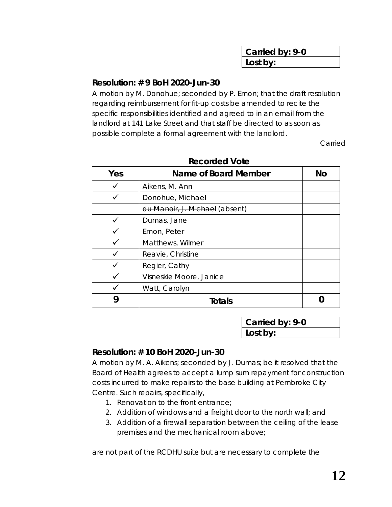| Carried by: 9-0 |  |
|-----------------|--|
| Lost by:        |  |

### **Resolution: # 9 BoH 2020-Jun-30**

A motion by M. Donohue; seconded by P. Emon; that the draft resolution regarding reimbursement for fit-up costs be amended to recite the specific responsibilities identified and agreed to in an email from the landlord at 141 Lake Street and that staff be directed to as soon as possible complete a formal agreement with the landlord.

Carried

| Yes | Name of Board Member           | No |
|-----|--------------------------------|----|
|     | Aikens, M. Ann                 |    |
|     | Donohue, Michael               |    |
|     | du Manoir, J. Michael (absent) |    |
|     | Dumas, Jane                    |    |
|     | Emon, Peter                    |    |
|     | Matthews, Wilmer               |    |
|     | Reavie, Christine              |    |
|     | Regier, Cathy                  |    |
|     | Visneskie Moore, Janice        |    |
|     | Watt, Carolyn                  |    |
| g   | <b>Totals</b>                  |    |

| <b>Recorded Vote</b> |
|----------------------|
|----------------------|

**Carried by: 9-0 Lost by:**

#### **Resolution: # 10 BoH 2020-Jun-30**

A motion by M. A. Aikens; seconded by J. Dumas; be it resolved that the Board of Health agrees to accept a lump sum repayment for construction costs incurred to make repairs to the base building at Pembroke City Centre. Such repairs, specifically,

- 1. Renovation to the front entrance;
- 2. Addition of windows and a freight door to the north wall; and
- 3. Addition of a firewall separation between the ceiling of the lease premises and the mechanical room above;

are not part of the RCDHU suite but are necessary to complete the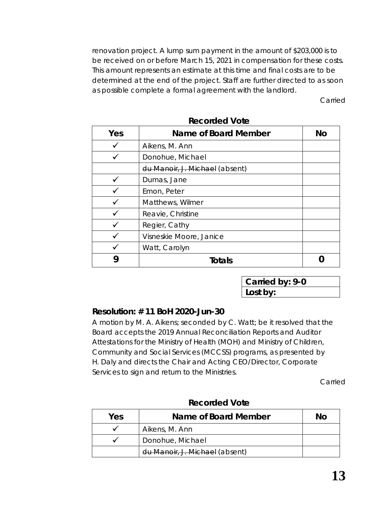renovation project. A lump sum payment in the amount of \$203,000 is to be received on or before March 15, 2021 in compensation for these costs. This amount represents an estimate at this time and final costs are to be determined at the end of the project. Staff are further directed to as soon as possible complete a formal agreement with the landlord.

Carried

| Yes | Name of Board Member           | <b>No</b> |
|-----|--------------------------------|-----------|
|     | Aikens, M. Ann                 |           |
|     | Donohue, Michael               |           |
|     | du Manoir, J. Michael (absent) |           |
|     | Dumas, Jane                    |           |
|     | Emon, Peter                    |           |
|     | Matthews, Wilmer               |           |
|     | Reavie, Christine              |           |
|     | Regier, Cathy                  |           |
|     | Visneskie Moore, Janice        |           |
|     | Watt, Carolyn                  |           |
|     | Totals                         |           |

**Recorded Vote**

**Carried by: 9-0 Lost by:**

### **Resolution: # 11 BoH 2020-Jun-30**

A motion by M. A. Aikens; seconded by C. Watt; be it resolved that the Board accepts the 2019 Annual Reconciliation Reports and Auditor Attestations for the Ministry of Health (MOH) and Ministry of Children, Community and Social Services (MCCSS) programs, as presented by H. Daly and directs the Chair and Acting CEO/Director, Corporate Services to sign and return to the Ministries.

| Yes | Name of Board Member           | Nο |
|-----|--------------------------------|----|
|     | Aikens, M. Ann                 |    |
|     | Donohue, Michael               |    |
|     | du Manoir, J. Michael (absent) |    |

**Recorded Vote**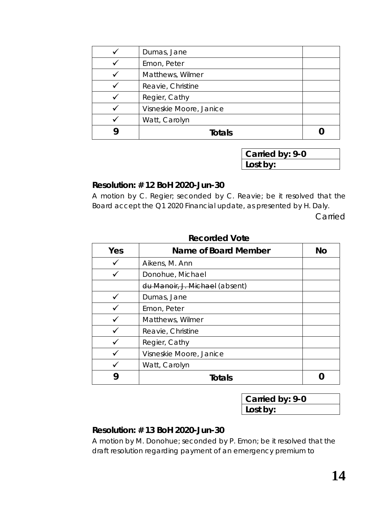| Dumas, Jane             |  |
|-------------------------|--|
| Emon, Peter             |  |
| Matthews, Wilmer        |  |
| Reavie, Christine       |  |
| Regier, Cathy           |  |
| Visneskie Moore, Janice |  |
| Watt, Carolyn           |  |
| <b>Totals</b>           |  |

**Carried by: 9-0 Lost by:**

#### **Resolution: # 12 BoH 2020-Jun-30**

A motion by C. Regier; seconded by C. Reavie; be it resolved that the Board accept the Q1 2020 Financial update, as presented by H. Daly.

Carried

| Yes | Name of Board Member           | NΩ |
|-----|--------------------------------|----|
|     | Aikens, M. Ann                 |    |
|     | Donohue, Michael               |    |
|     | du Manoir, J. Michael (absent) |    |
|     | Dumas, Jane                    |    |
|     | Emon, Peter                    |    |
|     | Matthews, Wilmer               |    |
|     | Reavie, Christine              |    |
|     | Regier, Cathy                  |    |
|     | Visneskie Moore, Janice        |    |
|     | Watt, Carolyn                  |    |
| y   | Totals                         |    |

#### **Recorded Vote**

**Carried by: 9-0 Lost by:**

#### **Resolution: # 13 BoH 2020-Jun-30**

A motion by M. Donohue; seconded by P. Emon; be it resolved that the draft resolution regarding payment of an emergency premium to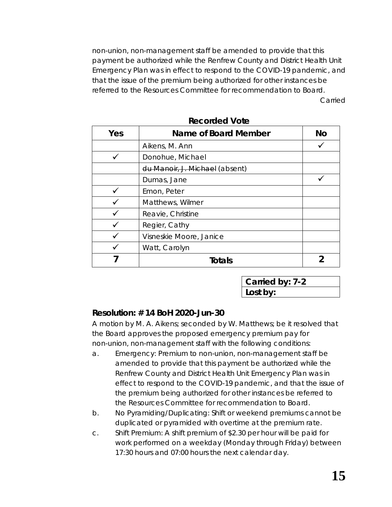non-union, non-management staff be amended to provide that this payment be authorized while the Renfrew County and District Health Unit Emergency Plan was in effect to respond to the COVID-19 pandemic, and that the issue of the premium being authorized for other instances be referred to the Resources Committee for recommendation to Board.

Carried

| Yes | Name of Board Member           | <b>No</b> |
|-----|--------------------------------|-----------|
|     | Aikens, M. Ann                 |           |
|     | Donohue, Michael               |           |
|     | du Manoir, J. Michael (absent) |           |
|     | Dumas, Jane                    |           |
|     | Emon, Peter                    |           |
|     | Matthews, Wilmer               |           |
|     | Reavie, Christine              |           |
|     | Regier, Cathy                  |           |
|     | Visneskie Moore, Janice        |           |
|     | Watt, Carolyn                  |           |
|     | Totals                         |           |

#### **Recorded Vote**

**Carried by: 7-2 Lost by:**

### **Resolution: # 14 BoH 2020-Jun-30**

A motion by M. A. Aikens; seconded by W. Matthews; be it resolved that the Board approves the proposed emergency premium pay for non-union, non-management staff with the following conditions:

- a. Emergency: Premium to non-union, non-management staff be amended to provide that this payment be authorized while the Renfrew County and District Health Unit Emergency Plan was in effect to respond to the COVID-19 pandemic, and that the issue of the premium being authorized for other instances be referred to the Resources Committee for recommendation to Board.
- b. No Pyramiding/Duplicating: Shift or weekend premiums cannot be duplicated or pyramided with overtime at the premium rate.
- c. Shift Premium: A shift premium of \$2.30 per hour will be paid for work performed on a weekday (Monday through Friday) between 17:30 hours and 07:00 hours the next calendar day.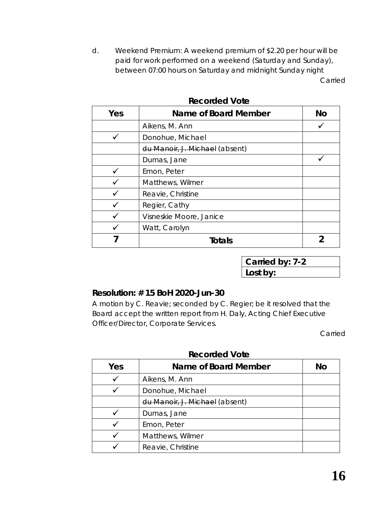d. Weekend Premium: A weekend premium of \$2.20 per hour will be paid for work performed on a weekend (Saturday and Sunday), between 07:00 hours on Saturday and midnight Sunday night Carried

| Yes | Name of Board Member           | <b>No</b> |
|-----|--------------------------------|-----------|
|     | Aikens, M. Ann                 |           |
|     | Donohue, Michael               |           |
|     | du Manoir, J. Michael (absent) |           |
|     | Dumas, Jane                    |           |
|     | Emon, Peter                    |           |
|     | Matthews, Wilmer               |           |
|     | Reavie, Christine              |           |
|     | Regier, Cathy                  |           |
|     | Visneskie Moore, Janice        |           |
|     | Watt, Carolyn                  |           |
|     | Totals                         |           |

### **Recorded Vote**

**Carried by: 7-2 Lost by:**

#### **Resolution: # 15 BoH 2020-Jun-30**

A motion by C. Reavie; seconded by C. Regier; be it resolved that the Board accept the written report from H. Daly, Acting Chief Executive Officer/Director, Corporate Services.

Carried

| Yes | Name of Board Member           | Nο |
|-----|--------------------------------|----|
|     | Aikens, M. Ann                 |    |
|     | Donohue, Michael               |    |
|     | du Manoir, J. Michael (absent) |    |
|     | Dumas, Jane                    |    |
|     | Emon, Peter                    |    |
|     | Matthews, Wilmer               |    |
|     | Reavie, Christine              |    |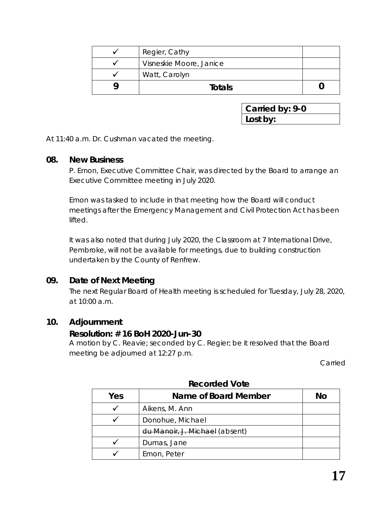| Regier, Cathy           |  |
|-------------------------|--|
| Visneskie Moore, Janice |  |
| Watt, Carolyn           |  |
| Totals                  |  |

**Carried by: 9-0 Lost by:**

At 11:40 a.m. Dr. Cushman vacated the meeting.

#### **08. New Business**

P. Emon, Executive Committee Chair, was directed by the Board to arrange an Executive Committee meeting in July 2020.

Emon was tasked to include in that meeting how the Board will conduct meetings after the *Emergency Management and Civil Protection Act* has been lifted.

It was also noted that during July 2020, the Classroom at 7 International Drive, Pembroke, will not be available for meetings, due to building construction undertaken by the County of Renfrew.

#### **09. Date of Next Meeting**

The next Regular Board of Health meeting is scheduled for Tuesday, July 28, 2020, at 10:00 a.m.

#### **10. Adjournment**

#### **Resolution: # 16 BoH 2020-Jun-30**

A motion by C. Reavie; seconded by C. Regier; be it resolved that the Board meeting be adjourned at 12:27 p.m.

Carried

| Yes | Name of Board Member           | No |
|-----|--------------------------------|----|
|     | Aikens, M. Ann                 |    |
|     | Donohue, Michael               |    |
|     | du Manoir, J. Michael (absent) |    |
|     | Dumas, Jane                    |    |
|     | Emon, Peter                    |    |